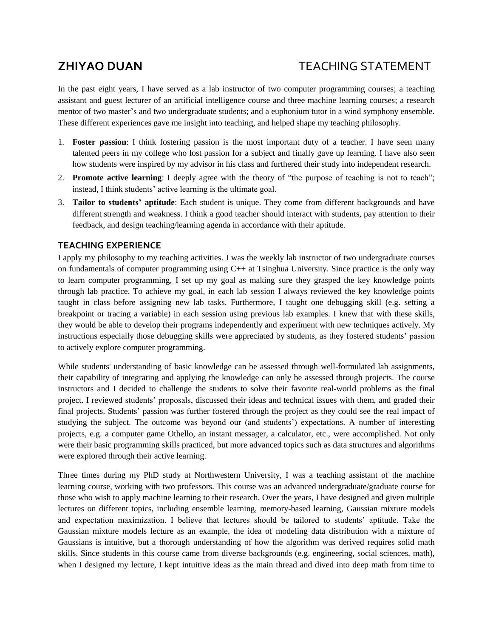# **ZHIYAO DUAN** TEACHING STATEMENT

In the past eight years, I have served as a lab instructor of two computer programming courses; a teaching assistant and guest lecturer of an artificial intelligence course and three machine learning courses; a research mentor of two master's and two undergraduate students; and a euphonium tutor in a wind symphony ensemble. These different experiences gave me insight into teaching, and helped shape my teaching philosophy.

- 1. **Foster passion**: I think fostering passion is the most important duty of a teacher. I have seen many talented peers in my college who lost passion for a subject and finally gave up learning. I have also seen how students were inspired by my advisor in his class and furthered their study into independent research.
- 2. **Promote active learning**: I deeply agree with the theory of "the purpose of teaching is not to teach"; instead, I think students' active learning is the ultimate goal.
- 3. **Tailor to students' aptitude**: Each student is unique. They come from different backgrounds and have different strength and weakness. I think a good teacher should interact with students, pay attention to their feedback, and design teaching/learning agenda in accordance with their aptitude.

# **TEACHING EXPERIENCE**

I apply my philosophy to my teaching activities. I was the weekly lab instructor of two undergraduate courses on fundamentals of computer programming using  $C_{++}$  at Tsinghua University. Since practice is the only way to learn computer programming, I set up my goal as making sure they grasped the key knowledge points through lab practice. To achieve my goal, in each lab session I always reviewed the key knowledge points taught in class before assigning new lab tasks. Furthermore, I taught one debugging skill (e.g. setting a breakpoint or tracing a variable) in each session using previous lab examples. I knew that with these skills, they would be able to develop their programs independently and experiment with new techniques actively. My instructions especially those debugging skills were appreciated by students, as they fostered students' passion to actively explore computer programming.

While students' understanding of basic knowledge can be assessed through well-formulated lab assignments, their capability of integrating and applying the knowledge can only be assessed through projects. The course instructors and I decided to challenge the students to solve their favorite real-world problems as the final project. I reviewed students' proposals, discussed their ideas and technical issues with them, and graded their final projects. Students' passion was further fostered through the project as they could see the real impact of studying the subject. The outcome was beyond our (and students') expectations. A number of interesting projects, e.g. a computer game Othello, an instant messager, a calculator, etc., were accomplished. Not only were their basic programming skills practiced, but more advanced topics such as data structures and algorithms were explored through their active learning.

Three times during my PhD study at Northwestern University, I was a teaching assistant of the machine learning course, working with two professors. This course was an advanced undergraduate/graduate course for those who wish to apply machine learning to their research. Over the years, I have designed and given multiple lectures on different topics, including ensemble learning, memory-based learning, Gaussian mixture models and expectation maximization. I believe that lectures should be tailored to students' aptitude. Take the Gaussian mixture models lecture as an example, the idea of modeling data distribution with a mixture of Gaussians is intuitive, but a thorough understanding of how the algorithm was derived requires solid math skills. Since students in this course came from diverse backgrounds (e.g. engineering, social sciences, math), when I designed my lecture, I kept intuitive ideas as the main thread and dived into deep math from time to